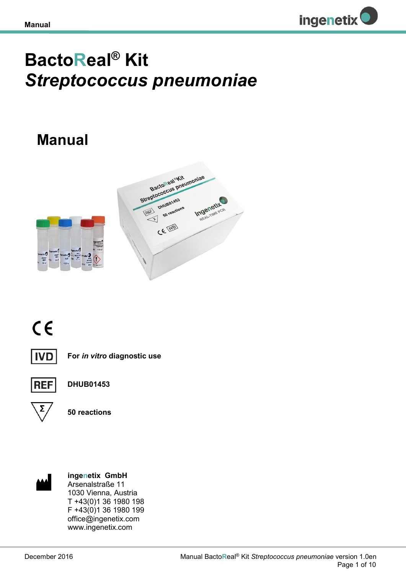

# **BactoReal® Kit**  *Streptococcus pneumoniae*

## **Manual**







**For** *in vitro* **diagnostic use**



**DHUB01453**

Σ

**50 reactions**



**ingenetix GmbH** Arsenalstraße 11 1030 Vienna, Austria T +43(0)1 36 1980 198 F +43(0)1 36 1980 199 office@ingenetix.com www.ingenetix.com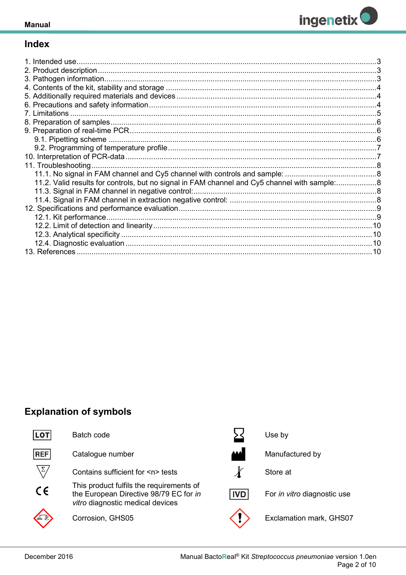

## **Index**

| 13 References | 10 |
|---------------|----|

## **Explanation of symbols**

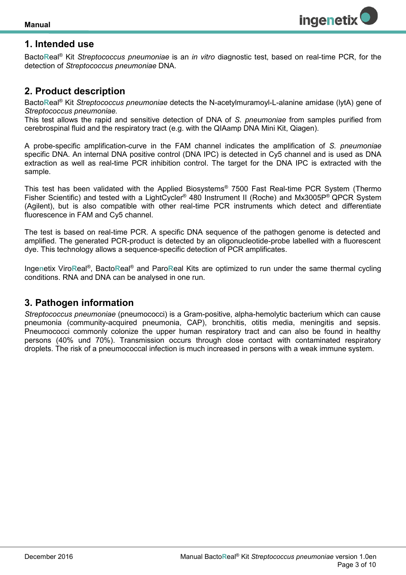## <span id="page-2-0"></span>**1. Intended use**

Bacto**R**eal® Kit *Streptococcus pneumoniae* is an *in vitro* diagnostic test, based on real-time PCR, for the detection of *Streptococcus pneumoniae* DNA.

## <span id="page-2-1"></span>**2. Product description**

Bacto**R**eal® Kit *Streptococcus pneumoniae* detects the N-acetylmuramoyl-L-alanine amidase (lytA) gene of *Streptococcus pneumoniae.*

This test allows the rapid and sensitive detection of DNA of *S. pneumoniae* from samples purified from cerebrospinal fluid and the respiratory tract (e.g. with the QIAamp DNA Mini Kit, Qiagen).

A probe-specific amplification-curve in the FAM channel indicates the amplification of *S. pneumoniae* specific DNA. An internal DNA positive control (DNA IPC) is detected in Cy5 channel and is used as DNA extraction as well as real-time PCR inhibition control. The target for the DNA IPC is extracted with the sample.

This test has been validated with the Applied Biosystems® 7500 Fast Real-time PCR System (Thermo Fisher Scientific) and tested with a LightCycler® 480 Instrument II (Roche) and Mx3005P® QPCR System (Agilent), but is also compatible with other real-time PCR instruments which detect and differentiate fluorescence in FAM and Cy5 channel.

The test is based on real-time PCR. A specific DNA sequence of the pathogen genome is detected and amplified. The generated PCR-product is detected by an oligonucleotide-probe labelled with a fluorescent dye. This technology allows a sequence-specific detection of PCR amplificates.

Ingenetix ViroReal<sup>®</sup>, BactoReal<sup>®</sup> and ParoReal Kits are optimized to run under the same thermal cycling conditions. RNA and DNA can be analysed in one run.

## <span id="page-2-2"></span>**3. Pathogen information**

*Streptococcus pneumoniae* (pneumococci) is a Gram-positive, alpha-hemolytic bacterium which can cause pneumonia (community-acquired pneumonia, CAP), bronchitis, otitis media, meningitis and sepsis. Pneumococci commonly colonize the upper human respiratory tract and can also be found in healthy persons (40% und 70%). Transmission occurs through close contact with contaminated respiratory droplets. The risk of a pneumococcal infection is much increased in persons with a weak immune system.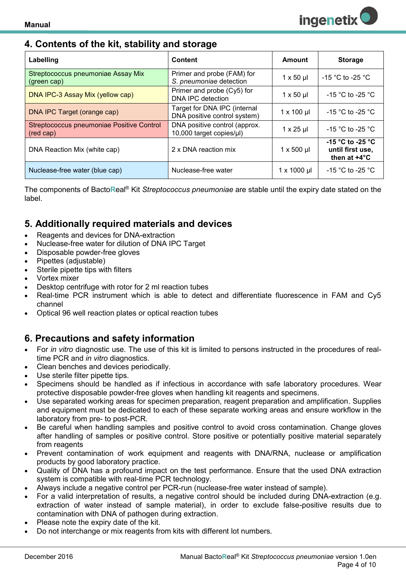## <span id="page-3-0"></span>**4. Contents of the kit, stability and storage**

| Labelling                                              | Content                                                      | Amount              | <b>Storage</b>                                                 |
|--------------------------------------------------------|--------------------------------------------------------------|---------------------|----------------------------------------------------------------|
| Streptococcus pneumoniae Assay Mix<br>(green cap)      | Primer and probe (FAM) for<br>S. pneumoniae detection        | $1 \times 50$ µl    | -15 °C to -25 °C                                               |
| DNA IPC-3 Assay Mix (yellow cap)                       | Primer and probe (Cy5) for<br>DNA IPC detection              | $1 \times 50$ µl    | $-15$ °C to $-25$ °C                                           |
| DNA IPC Target (orange cap)                            | Target for DNA IPC (internal<br>DNA positive control system) | $1 \times 100$ µl   | $-15$ °C to $-25$ °C                                           |
| Streptococcus pneumoniae Positive Control<br>(red cap) | DNA positive control (approx.<br>10,000 target copies/µl)    | $1 \times 25$ µl    | $-15$ °C to -25 °C                                             |
| DNA Reaction Mix (white cap)                           | 2 x DNA reaction mix                                         | $1 \times 500$ µl   | -15 °C to -25 °C<br>until first use,<br>then at $+4^{\circ}$ C |
| Nuclease-free water (blue cap)                         | Nuclease-free water                                          | $1 \times 1000 \mu$ | $-15$ °C to $-25$ °C                                           |

The components of Bacto**R**eal® Kit *Streptococcus pneumoniae* are stable until the expiry date stated on the label.

## <span id="page-3-1"></span>**5. Additionally required materials and devices**

- Reagents and devices for DNA-extraction
- Nuclease-free water for dilution of DNA IPC Target
- Disposable powder-free gloves
- Pipettes (adjustable)
- Sterile pipette tips with filters
- Vortex mixer
- Desktop centrifuge with rotor for 2 ml reaction tubes
- Real-time PCR instrument which is able to detect and differentiate fluorescence in FAM and Cy5 channel
- Optical 96 well reaction plates or optical reaction tubes

## <span id="page-3-2"></span>**6. Precautions and safety information**

- For *in vitro* diagnostic use. The use of this kit is limited to persons instructed in the procedures of realtime PCR and *in vitro* diagnostics.
- Clean benches and devices periodically.
- Use sterile filter pipette tips.
- Specimens should be handled as if infectious in accordance with safe laboratory procedures. Wear protective disposable powder-free gloves when handling kit reagents and specimens.
- Use separated working areas for specimen preparation, reagent preparation and amplification. Supplies and equipment must be dedicated to each of these separate working areas and ensure workflow in the laboratory from pre- to post-PCR.
- Be careful when handling samples and positive control to avoid cross contamination. Change gloves after handling of samples or positive control. Store positive or potentially positive material separately from reagents
- Prevent contamination of work equipment and reagents with DNA/RNA, nuclease or amplification products by good laboratory practice.
- Quality of DNA has a profound impact on the test performance. Ensure that the used DNA extraction system is compatible with real-time PCR technology.
- Always include a negative control per PCR-run (nuclease-free water instead of sample).
- For a valid interpretation of results, a negative control should be included during DNA-extraction (e.g. extraction of water instead of sample material), in order to exclude false-positive results due to contamination with DNA of pathogen during extraction.
- Please note the expiry date of the kit.
- Do not interchange or mix reagents from kits with different lot numbers.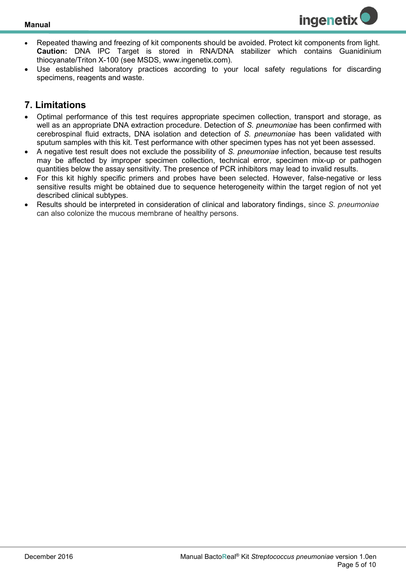

- Repeated thawing and freezing of kit components should be avoided. Protect kit components from light. **Caution:** DNA IPC Target is stored in RNA/DNA stabilizer which contains Guanidinium thiocyanate/Triton X-100 (see MSDS, www.ingenetix.com).
- Use established laboratory practices according to your local safety regulations for discarding specimens, reagents and waste.

## <span id="page-4-0"></span>**7. Limitations**

- Optimal performance of this test requires appropriate specimen collection, transport and storage, as well as an appropriate DNA extraction procedure. Detection of *S. pneumoniae* has been confirmed with cerebrospinal fluid extracts, DNA isolation and detection of *S. pneumoniae* has been validated with sputum samples with this kit. Test performance with other specimen types has not yet been assessed.
- A negative test result does not exclude the possibility of *S. pneumoniae* infection, because test results may be affected by improper specimen collection, technical error, specimen mix-up or pathogen quantities below the assay sensitivity. The presence of PCR inhibitors may lead to invalid results.
- For this kit highly specific primers and probes have been selected. However, false-negative or less sensitive results might be obtained due to sequence heterogeneity within the target region of not yet described clinical subtypes.
- Results should be interpreted in consideration of clinical and laboratory findings, since *S. pneumoniae* can also colonize the mucous membrane of healthy persons.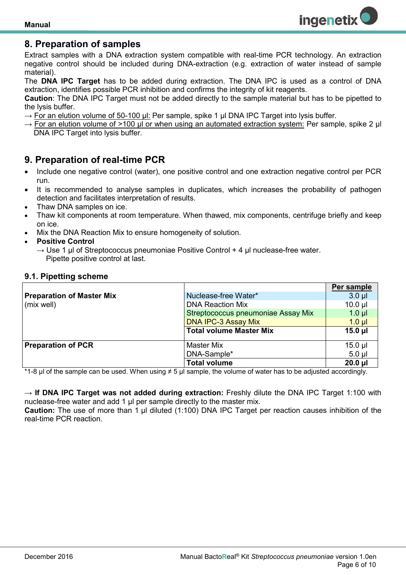

## <span id="page-5-0"></span>**8. Preparation of samples**

Extract samples with a DNA extraction system compatible with real-time PCR technology. An extraction negative control should be included during DNA-extraction (e.g. extraction of water instead of sample material).

The **DNA IPC Target** has to be added during extraction. The DNA IPC is used as a control of DNA extraction, identifies possible PCR inhibition and confirms the integrity of kit reagents.

**Caution**: The DNA IPC Target must not be added directly to the sample material but has to be pipetted to the lysis buffer.

 $\rightarrow$  For an elution volume of 50-100 µl: Per sample, spike 1 µl DNA IPC Target into lysis buffer.

 $\rightarrow$  For an elution volume of >100 µl or when using an automated extraction system: Per sample, spike 2 µl DNA IPC Target into lysis buffer.

## <span id="page-5-1"></span>**9. Preparation of real-time PCR**

- Include one negative control (water), one positive control and one extraction negative control per PCR run.
- It is recommended to analyse samples in duplicates, which increases the probability of pathogen detection and facilitates interpretation of results*.*
- Thaw DNA samples on ice.
- Thaw kit components at room temperature. When thawed, mix components, centrifuge briefly and keep on ice.
- Mix the DNA Reaction Mix to ensure homogeneity of solution.
- **Positive Control**
	- $\rightarrow$  Use 1 µl of Streptococcus pneumoniae Positive Control + 4 µl nuclease-free water. Pipette positive control at last.

#### <span id="page-5-2"></span>**9.1. Pipetting scheme**

|                                  |                                    | Per sample   |
|----------------------------------|------------------------------------|--------------|
| <b>Preparation of Master Mix</b> | Nuclease-free Water*               | $3.0 \mu$    |
| (mix well)                       | <b>DNA Reaction Mix</b>            | $10.0$ $\mu$ |
|                                  | Streptococcus pneumoniae Assay Mix | $1.0 \mu$    |
|                                  | <b>DNA IPC-3 Assay Mix</b>         | $1.0$ $\mu$  |
|                                  | <b>Total volume Master Mix</b>     | $15.0$ µl    |
| <b>Preparation of PCR</b>        | <b>Master Mix</b>                  | $15.0$ µl    |
|                                  | DNA-Sample*                        | $5.0$ $\mu$  |
|                                  | <b>Total volume</b>                | $20.0$ $\mu$ |

\*1-8 µl of the sample can be used. When using ≠ 5 µl sample, the volume of water has to be adjusted accordingly.

→ **If DNA IPC Target was not added during extraction:** Freshly dilute the DNA IPC Target 1:100 with nuclease-free water and add 1 µl per sample directly to the master mix.

**Caution:** The use of more than 1 ul diluted (1:100) DNA IPC Target per reaction causes inhibition of the real-time PCR reaction.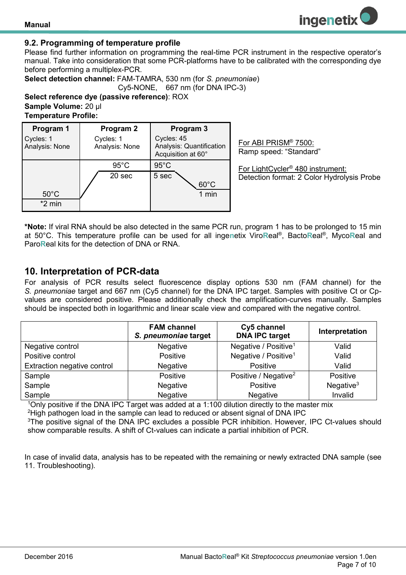#### <span id="page-6-0"></span>**9.2. Programming of temperature profile**

Please find further information on programming the real-time PCR instrument in the respective operator's manual. Take into consideration that some PCR-platforms have to be calibrated with the corresponding dye before performing a multiplex-PCR.

**Select detection channel:** FAM-TAMRA, 530 nm (for *S. pneumoniae*)

Cy5-NONE, 667 nm (for DNA IPC-3)

**Select reference dye (passive reference)**: ROX **Sample Volume:** 20 µl **Temperature Profile:** 

| Program 1                   | Program 2                   | Program 3                                                    |
|-----------------------------|-----------------------------|--------------------------------------------------------------|
| Cycles: 1<br>Analysis: None | Cycles: 1<br>Analysis: None | Cycles: 45<br>Analysis: Quantification<br>Acquisition at 60° |
|                             | $95^{\circ}$ C              | $95^{\circ}$ C                                               |
|                             | 20 sec                      | 5 sec<br>$60^{\circ}$ C                                      |
| $50^{\circ}$ C              |                             | 1 min                                                        |
| $*2$ min                    |                             |                                                              |

For ABI PRISM® 7500: Ramp speed: "Standard"

For LightCycler® 480 instrument: Detection format: 2 Color Hydrolysis Probe

**\*Note:** If viral RNA should be also detected in the same PCR run, program 1 has to be prolonged to 15 min at 50°C. This temperature profile can be used for all inge**n**etix Viro**R**eal® , Bacto**R**eal® , Myco**R**eal and Paro**R**eal kits for the detection of DNA or RNA.

#### <span id="page-6-1"></span>**10. Interpretation of PCR-data**

For analysis of PCR results select fluorescence display options 530 nm (FAM channel) for the *S. pneumoniae* target and 667 nm (Cy5 channel) for the DNA IPC target. Samples with positive Ct or Cpvalues are considered positive. Please additionally check the amplification-curves manually. Samples should be inspected both in logarithmic and linear scale view and compared with the negative control.

|                             | <b>FAM channel</b><br>S. pneumoniae target | Cy5 channel<br><b>DNA IPC target</b> | Interpretation |
|-----------------------------|--------------------------------------------|--------------------------------------|----------------|
| Negative control            | <b>Negative</b>                            | Negative / Positive <sup>1</sup>     | Valid          |
| Positive control            | Positive                                   | Negative / Positive <sup>1</sup>     | Valid          |
| Extraction negative control | <b>Negative</b>                            | Positive                             | Valid          |
| Sample                      | Positive                                   | Positive / Negative <sup>2</sup>     | Positive       |
| Sample                      | Negative                                   | Positive                             | Negative $3$   |
| Sample                      | Negative                                   | Negative                             | Invalid        |

<sup>1</sup>Only positive if the DNA IPC Target was added at a 1:100 dilution directly to the master mix <sup>2</sup>High pathogen load in the sample can lead to reduced or absent signal of DNA IPC <sup>3</sup>The positive signal of the DNA IPC excludes a possible PCR inhibition. However, IPC Ct-values should

show comparable results. A shift of Ct-values can indicate a partial inhibition of PCR.

In case of invalid data, analysis has to be repeated with the remaining or newly extracted DNA sample (see 11. Troubleshooting).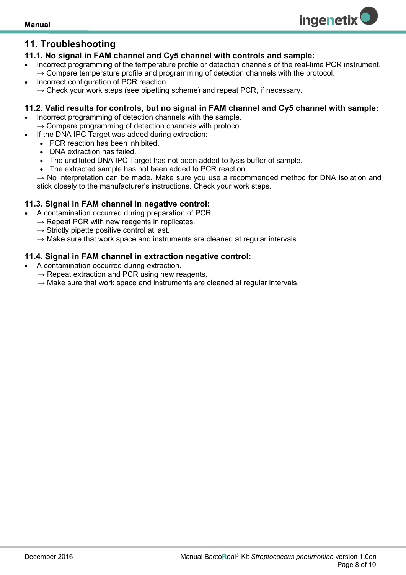## <span id="page-7-0"></span>**11. Troubleshooting**

#### <span id="page-7-1"></span>**11.1. No signal in FAM channel and Cy5 channel with controls and sample:**

• Incorrect programming of the temperature profile or detection channels of the real-time PCR instrument.  $\rightarrow$  Compare temperature profile and programming of detection channels with the protocol.

**ingenetix** 

 Incorrect configuration of PCR reaction.  $\rightarrow$  Check your work steps (see pipetting scheme) and repeat PCR, if necessary.

#### <span id="page-7-2"></span>**11.2. Valid results for controls, but no signal in FAM channel and Cy5 channel with sample:**

- Incorrect programming of detection channels with the sample.  $\rightarrow$  Compare programming of detection channels with protocol.
- If the DNA IPC Target was added during extraction:
	- PCR reaction has been inhibited.
	- DNA extraction has failed.
	- The undiluted DNA IPC Target has not been added to lysis buffer of sample.
	- The extracted sample has not been added to PCR reaction.
	- $\rightarrow$  No interpretation can be made. Make sure you use a recommended method for DNA isolation and stick closely to the manufacturer's instructions. Check your work steps.

#### <span id="page-7-3"></span>**11.3. Signal in FAM channel in negative control:**

- A contamination occurred during preparation of PCR.
- $\rightarrow$  Repeat PCR with new reagents in replicates.
- $\rightarrow$  Strictly pipette positive control at last.
- $\rightarrow$  Make sure that work space and instruments are cleaned at regular intervals.

#### <span id="page-7-4"></span>**11.4. Signal in FAM channel in extraction negative control:**

- A contamination occurred during extraction.
	- $\rightarrow$  Repeat extraction and PCR using new reagents.
	- $\rightarrow$  Make sure that work space and instruments are cleaned at regular intervals.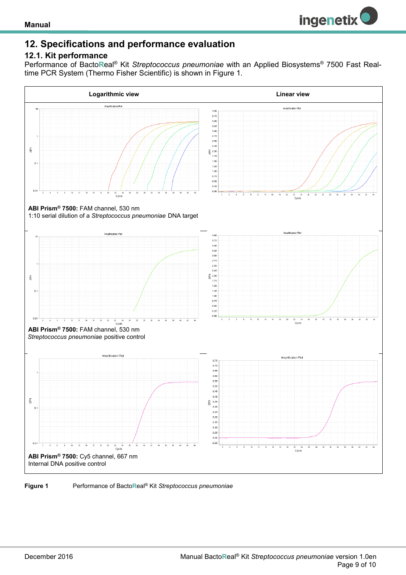

## <span id="page-8-0"></span>**12. Specifications and performance evaluation**

#### <span id="page-8-1"></span>**12.1. Kit performance**

Performance of Bacto**R**eal® Kit *Streptococcus pneumoniae* with an Applied Biosystems® 7500 Fast Realtime PCR System (Thermo Fisher Scientific) is shown in Figure 1.